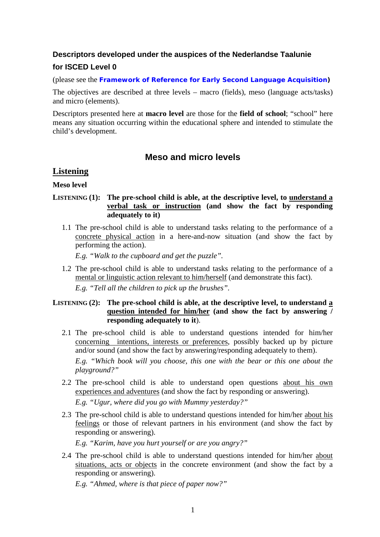# **Descriptors developed under the auspices of the Nederlandse Taalunie for ISCED Level 0**

(please see the *[Framework of Reference for Early Second Language Acquisition](http://rm.coe.int/CoERMPublicCommonSearchServices/DisplayDCTMContent?documentId=09000016805a2351))*

The objectives are described at three levels – macro (fields), meso (language acts/tasks) and micro (elements).

Descriptors presented here at **macro level** are those for the **field of school**; "school" here means any situation occurring within the educational sphere and intended to stimulate the child's development.

# **Meso and micro levels**

# **Listening**

## **Meso level**

### LISTENING **(1):** The pre-school child is able, at the descriptive level, to understand a **verbal task or instruction (and show the fact by responding adequately to it)**

1.1 The pre-school child is able to understand tasks relating to the performance of a concrete physical action in a here-and-now situation (and show the fact by performing the action).

*E.g. "Walk to the cupboard and get the puzzle".* 

1.2 The pre-school child is able to understand tasks relating to the performance of a mental or linguistic action relevant to him/herself (and demonstrate this fact).

*E.g. "Tell all the children to pick up the brushes".*

## **LISTENING (2):** The pre-school child is able, at the descriptive level, to understand a **question intended for him/her (and show the fact by answering / responding adequately to it**).

- 2.1 The pre-school child is able to understand questions intended for him/her concerning intentions, interests or preferences, possibly backed up by picture and/or sound (and show the fact by answering/responding adequately to them). *E.g. "Which book will you choose, this one with the bear or this one about the playground?"*
- 2.2 The pre-school child is able to understand open questions about his own experiences and adventures (and show the fact by responding or answering). *E.g. "Ugur, where did you go with Mummy yesterday?"*
- 2.3 The pre-school child is able to understand questions intended for him/her about his feelings or those of relevant partners in his environment (and show the fact by responding or answering).

*E.g. "Karim, have you hurt yourself or are you angry?"*

2.4 The pre-school child is able to understand questions intended for him/her about situations, acts or objects in the concrete environment (and show the fact by a responding or answering).

*E.g. "Ahmed, where is that piece of paper now?"*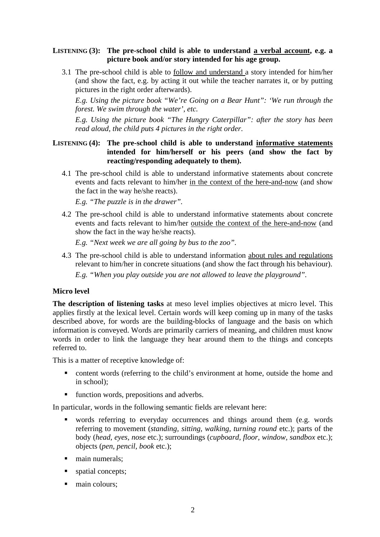## **LISTENING (3):** The pre-school child is able to understand a verbal account, e.g. a **picture book and/or story intended for his age group.**

3.1 The pre-school child is able to follow and understand a story intended for him/her (and show the fact, e.g. by acting it out while the teacher narrates it, or by putting pictures in the right order afterwards).

*E.g. Using the picture book "We're Going on a Bear Hunt": 'We run through the forest. We swim through the water', etc.*

*E.g. Using the picture book "The Hungry Caterpillar": after the story has been read aloud, the child puts 4 pictures in the right order*.

## **LISTENING (4):** The pre-school child is able to understand informative statements **intended for him/herself or his peers (and show the fact by reacting/responding adequately to them).**

4.1 The pre-school child is able to understand informative statements about concrete events and facts relevant to him/her in the context of the here-and-now (and show the fact in the way he/she reacts).

*E.g. "The puzzle is in the drawer".*

4.2 The pre-school child is able to understand informative statements about concrete events and facts relevant to him/her outside the context of the here-and-now (and show the fact in the way he/she reacts).

*E.g. "Next week we are all going by bus to the zoo".*

4.3 The pre-school child is able to understand information about rules and regulations relevant to him/her in concrete situations (and show the fact through his behaviour).

*E.g. "When you play outside you are not allowed to leave the playground".*

### **Micro level**

**The description of listening tasks** at meso level implies objectives at micro level. This applies firstly at the lexical level. Certain words will keep coming up in many of the tasks described above, for words are the building-blocks of language and the basis on which information is conveyed. Words are primarily carriers of meaning, and children must know words in order to link the language they hear around them to the things and concepts referred to.

This is a matter of receptive knowledge of:

- content words (referring to the child's environment at home, outside the home and in school);
- function words, prepositions and adverbs.

In particular, words in the following semantic fields are relevant here:

- words referring to everyday occurrences and things around them (e.g. words referring to movement (*standing, sitting, walking, turning round* etc.); parts of the body (*head, eyes, nose* etc.); surroundings (*cupboard, floor, window, sandbox* etc.); objects (*pen, pencil, book* etc.);
- main numerals;
- **spatial concepts;**
- main colours;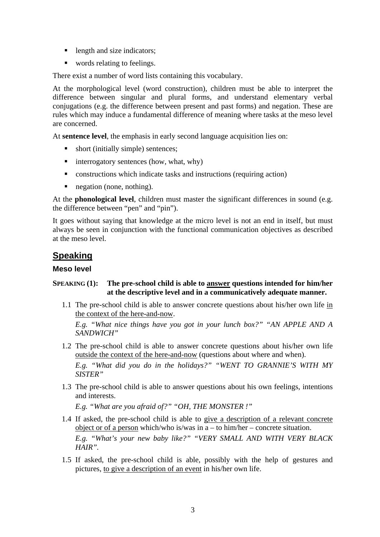- length and size indicators;
- words relating to feelings.

There exist a number of word lists containing this vocabulary.

At the morphological level (word construction), children must be able to interpret the difference between singular and plural forms, and understand elementary verbal conjugations (e.g. the difference between present and past forms) and negation. These are rules which may induce a fundamental difference of meaning where tasks at the meso level are concerned.

At **sentence level**, the emphasis in early second language acquisition lies on:

- short (initially simple) sentences;
- $\blacksquare$  interrogatory sentences (how, what, why)
- constructions which indicate tasks and instructions (requiring action)
- negation (none, nothing).

At the **phonological level**, children must master the significant differences in sound (e.g. the difference between "pen" and "pin").

It goes without saying that knowledge at the micro level is not an end in itself, but must always be seen in conjunction with the functional communication objectives as described at the meso level.

# **Speaking**

### **Meso level**

# **SPEAKING (1): The pre-school child is able to answer questions intended for him/her at the descriptive level and in a communicatively adequate manner.**

1.1 The pre-school child is able to answer concrete questions about his/her own life in the context of the here-and-now.

*E.g. "What nice things have you got in your lunch box?" "AN APPLE AND A SANDWICH"*

1.2 The pre-school child is able to answer concrete questions about his/her own life outside the context of the here-and-now (questions about where and when).

*E.g. "What did you do in the holidays?" "WENT TO GRANNIE'S WITH MY SISTER"*

1.3 The pre-school child is able to answer questions about his own feelings, intentions and interests.

*E.g. "What are you afraid of?" "OH, THE MONSTER !"*

- 1.4 If asked, the pre-school child is able to give a description of a relevant concrete object or of a person which/who is/was in a – to him/her – concrete situation. *E.g. "What's your new baby like?" "VERY SMALL AND WITH VERY BLACK HAIR".*
- 1.5 If asked, the pre-school child is able, possibly with the help of gestures and pictures, to give a description of an event in his/her own life.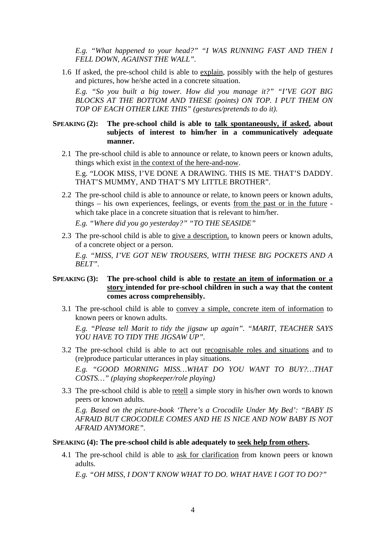*E.g. "What happened to your head?" "I WAS RUNNING FAST AND THEN I FELL DOWN, AGAINST THE WALL".*

1.6 If asked, the pre-school child is able to explain, possibly with the help of gestures and pictures, how he/she acted in a concrete situation.

*E.g. "So you built a big tower. How did you manage it?" "I'VE GOT BIG BLOCKS AT THE BOTTOM AND THESE (points) ON TOP. I PUT THEM ON TOP OF EACH OTHER LIKE THIS" (gestures/pretends to do it).*

### **SPEAKING (2):** The pre-school child is able to talk spontaneously, if asked, about **subjects of interest to him/her in a communicatively adequate manner.**

2.1 The pre-school child is able to announce or relate, to known peers or known adults, things which exist in the context of the here-and-now.

E.g. "LOOK MISS, I'VE DONE A DRAWING. THIS IS ME. THAT'S DADDY. THAT'S MUMMY, AND THAT'S MY LITTLE BROTHER".

2.2 The pre-school child is able to announce or relate, to known peers or known adults, things – his own experiences, feelings, or events from the past or in the future which take place in a concrete situation that is relevant to him/her.

*E.g. "Where did you go yesterday?" "TO THE SEASIDE"* 

2.3 The pre-school child is able to give a description, to known peers or known adults, of a concrete object or a person. *E.g. "MISS, I'VE GOT NEW TROUSERS, WITH THESE BIG POCKETS AND A BELT".*

### **SPEAKING (3): The pre-school child is able to restate an item of information or a story intended for pre-school children in such a way that the content comes across comprehensibly.**

3.1 The pre-school child is able to convey a simple, concrete item of information to known peers or known adults.

*E.g. "Please tell Marit to tidy the jigsaw up again". "MARIT, TEACHER SAYS YOU HAVE TO TIDY THE JIGSAW UP".*

3.2 The pre-school child is able to act out recognisable roles and situations and to (re)produce particular utterances in play situations.

*E.g. "GOOD MORNING MISS…WHAT DO YOU WANT TO BUY?…THAT COSTS…" (playing shopkeeper/role playing)*

3.3 The pre-school child is able to retell a simple story in his/her own words to known peers or known adults.

*E.g. Based on the picture-book 'There's a Crocodile Under My Bed': "BABY IS AFRAID BUT CROCODILE COMES AND HE IS NICE AND NOW BABY IS NOT AFRAID ANYMORE".*

#### **SPEAKING (4): The pre-school child is able adequately to seek help from others.**

4.1 The pre-school child is able to ask for clarification from known peers or known adults.

*E.g. "OH MISS, I DON'T KNOW WHAT TO DO. WHAT HAVE I GOT TO DO?"*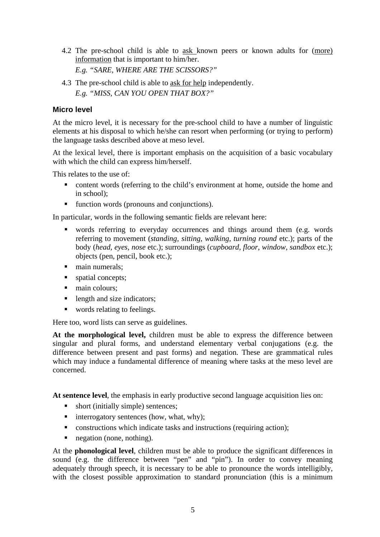4.2 The pre-school child is able to ask known peers or known adults for (more) information that is important to him/her.

*E.g. "SARE, WHERE ARE THE SCISSORS?"*

4.3 The pre-school child is able to ask for help independently. *E.g. "MISS, CAN YOU OPEN THAT BOX?"*

# **Micro level**

At the micro level, it is necessary for the pre-school child to have a number of linguistic elements at his disposal to which he/she can resort when performing (or trying to perform) the language tasks described above at meso level.

At the lexical level, there is important emphasis on the acquisition of a basic vocabulary with which the child can express him/herself.

This relates to the use of:

- content words (referring to the child's environment at home, outside the home and in school);
- function words (pronouns and conjunctions).

In particular, words in the following semantic fields are relevant here:

- words referring to everyday occurrences and things around them (e.g. words referring to movement (*standing, sitting, walking, turning round* etc.); parts of the body (*head, eyes, nose* etc.); surroundings (*cupboard, floor, window, sandbox* etc.); objects (pen, pencil, book etc.);
- main numerals;
- spatial concepts:
- main colours:
- length and size indicators:
- words relating to feelings.

Here too, word lists can serve as guidelines.

**At the morphological level,** children must be able to express the difference between singular and plural forms, and understand elementary verbal conjugations (e.g. the difference between present and past forms) and negation. These are grammatical rules which may induce a fundamental difference of meaning where tasks at the meso level are concerned.

**At sentence level**, the emphasis in early productive second language acquisition lies on:

- short (initially simple) sentences;
- $\blacksquare$  interrogatory sentences (how, what, why);
- **CONSTRUCTIONS** which indicate tasks and instructions (requiring action);
- negation (none, nothing).

At the **phonological level**, children must be able to produce the significant differences in sound (e.g. the difference between "pen" and "pin"). In order to convey meaning adequately through speech, it is necessary to be able to pronounce the words intelligibly, with the closest possible approximation to standard pronunciation (this is a minimum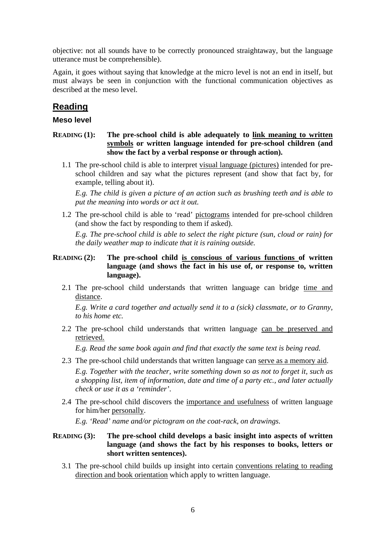objective: not all sounds have to be correctly pronounced straightaway, but the language utterance must be comprehensible).

Again, it goes without saying that knowledge at the micro level is not an end in itself, but must always be seen in conjunction with the functional communication objectives as described at the meso level.

# **Reading**

# **Meso level**

- **READING (1):** The pre-school child is able adequately to link meaning to written **symbols or written language intended for pre-school children (and show the fact by a verbal response or through action).**
	- 1.1 The pre-school child is able to interpret visual language (pictures) intended for preschool children and say what the pictures represent (and show that fact by, for example, telling about it).

*E.g. The child is given a picture of an action such as brushing teeth and is able to put the meaning into words or act it out.*

1.2 The pre-school child is able to 'read' pictograms intended for pre-school children (and show the fact by responding to them if asked).

*E.g. The pre-school child is able to select the right picture (sun, cloud or rain) for the daily weather map to indicate that it is raining outside.*

## **READING (2): The pre-school child is conscious of various functions of written language (and shows the fact in his use of, or response to, written language).**

2.1 The pre-school child understands that written language can bridge time and distance.

*E.g. Write a card together and actually send it to a (sick) classmate, or to Granny, to his home etc.*

2.2 The pre-school child understands that written language can be preserved and retrieved.

*E.g. Read the same book again and find that exactly the same text is being read.*

2.3 The pre-school child understands that written language can serve as a memory aid.

*E.g. Together with the teacher, write something down so as not to forget it, such as a shopping list, item of information, date and time of a party etc., and later actually check or use it as a 'reminder'*.

2.4 The pre-school child discovers the importance and usefulness of written language for him/her personally.

*E.g. 'Read' name and/or pictogram on the coat-rack, on drawings.*

## **READING (3): The pre-school child develops a basic insight into aspects of written language (and shows the fact by his responses to books, letters or short written sentences).**

3.1 The pre-school child builds up insight into certain conventions relating to reading direction and book orientation which apply to written language.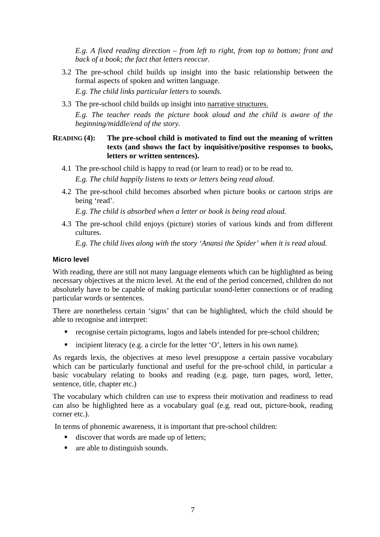*E.g. A fixed reading direction – from left to right, from top to bottom; front and back of a book; the fact that letters reoccur.*

3.2 The pre-school child builds up insight into the basic relationship between the formal aspects of spoken and written language.

*E.g. The child links particular letters to sounds.*

3.3 The pre-school child builds up insight into narrative structures.

*E.g. The teacher reads the picture book aloud and the child is aware of the beginning/middle/end of the story.*

# **READING (4): The pre-school child is motivated to find out the meaning of written texts (and shows the fact by inquisitive/positive responses to books, letters or written sentences).**

4.1 The pre-school child is happy to read (or learn to read) or to be read to.

*E.g. The child happily listens to texts or letters being read aloud.*

4.2 The pre-school child becomes absorbed when picture books or cartoon strips are being 'read'.

*E.g. The child is absorbed when a letter or book is being read aloud.*

4.3 The pre-school child enjoys (picture) stories of various kinds and from different cultures.

*E.g. The child lives along with the story 'Anansi the Spider' when it is read aloud.*

## **Micro level**

With reading, there are still not many language elements which can be highlighted as being necessary objectives at the micro level. At the end of the period concerned, children do not absolutely have to be capable of making particular sound-letter connections or of reading particular words or sentences.

There are nonetheless certain 'signs' that can be highlighted, which the child should be able to recognise and interpret:

- recognise certain pictograms, logos and labels intended for pre-school children;
- incipient literacy (e.g. a circle for the letter 'O', letters in his own name).

As regards lexis, the objectives at meso level presuppose a certain passive vocabulary which can be particularly functional and useful for the pre-school child, in particular a basic vocabulary relating to books and reading (e.g. page, turn pages, word, letter, sentence, title, chapter etc.)

The vocabulary which children can use to express their motivation and readiness to read can also be highlighted here as a vocabulary goal (e.g. read out, picture-book, reading corner etc.).

In terms of phonemic awareness, it is important that pre-school children:

- discover that words are made up of letters;
- **a** are able to distinguish sounds.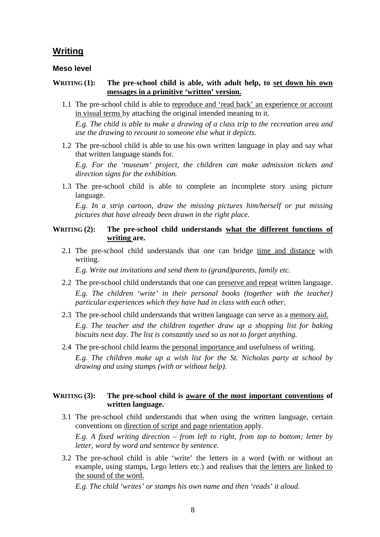# **Writing**

#### **Meso level**

### **WRITING (1):** The pre-school child is able, with adult help, to set down his own **messages in a primitive 'written' version.**

1.1 The pre-school child is able to reproduce and 'read back' an experience or account in visual terms by attaching the original intended meaning to it. *E.g. The child is able to make a drawing of a class trip to the recreation area and* 

*use the drawing to recount to someone else what it depicts.*

1.2 The pre-school child is able to use his own written language in play and say what that written language stands for.

*E.g. For the 'museum' project, the children can make admission tickets and direction signs for the exhibition.*

1.3 The pre-school child is able to complete an incomplete story using picture language.

*E.g. In a strip cartoon, draw the missing pictures him/herself or put missing pictures that have already been drawn in the right place.*

### **WRITING (2): The pre-school child understands what the different functions of writing are.**

2.1 The pre-school child understands that one can bridge time and distance with writing.

*E.g. Write out invitations and send them to (grand)parents, family etc.*

- 2.2 The pre-school child understands that one can preserve and repeat written language. *E.g. The children 'write' in their personal books (together with the teacher) particular experiences which they have had in class with each other.*
- 2.3 The pre-school child understands that written language can serve as a memory aid. *E.g. The teacher and the children together draw up a shopping list for baking biscuits next day. The list is constantly used so as not to forget anything.*
- 2.4 The pre-school child learns the personal importance and usefulness of writing. *E.g. The children make up a wish list for the St. Nicholas party at school by drawing and using stamps (with or without help).*

### **WRITING (3): The pre-school child is aware of the most important conventions of written language.**

- 3.1 The pre-school child understands that when using the written language, certain conventions on direction of script and page orientation apply. *E.g. A fixed writing direction – from left to right, from top to bottom; letter by letter, word by word and sentence by sentence.*
- 3.2 The pre-school child is able 'write' the letters in a word (with or without an example, using stamps, Lego letters etc.) and realises that the letters are linked to the sound of the word.

*E.g. The child 'writes' or stamps his own name and then 'reads' it aloud.*